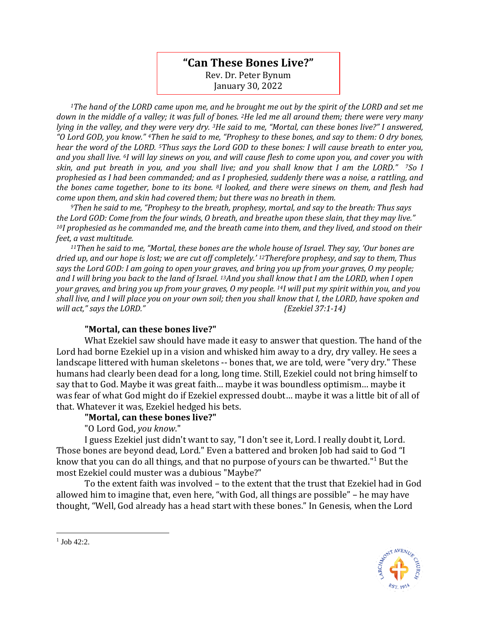## **"Can These Bones Live?"** Rev. Dr. Peter Bynum

January 30, 2022

*<sup>1</sup>The hand of the LORD came upon me, and he brought me out by the spirit of the LORD and set me down in the middle of a valley; it was full of bones. 2He led me all around them; there were very many lying in the valley, and they were very dry. 3He said to me, "Mortal, can these bones live?" I answered, "O Lord GOD, you know." 4Then he said to me, "Prophesy to these bones, and say to them: O dry bones, hear the word of the LORD. 5Thus says the Lord GOD to these bones: I will cause breath to enter you, and you shall live. 6I will lay sinews on you, and will cause flesh to come upon you, and cover you with skin, and put breath in you, and you shall live; and you shall know that I am the LORD." 7So I prophesied as I had been commanded; and as I prophesied, suddenly there was a noise, a rattling, and the bones came together, bone to its bone. 8I looked, and there were sinews on them, and flesh had come upon them, and skin had covered them; but there was no breath in them.* 

*<sup>9</sup>Then he said to me, "Prophesy to the breath, prophesy, mortal, and say to the breath: Thus says the Lord GOD: Come from the four winds, O breath, and breathe upon these slain, that they may live." <sup>10</sup>I prophesied as he commanded me, and the breath came into them, and they lived, and stood on their feet, a vast multitude.*

*<sup>11</sup>Then he said to me, "Mortal, these bones are the whole house of Israel. They say, 'Our bones are dried up, and our hope is lost; we are cut off completely.' 12Therefore prophesy, and say to them, Thus says the Lord GOD: I am going to open your graves, and bring you up from your graves, O my people; and I will bring you back to the land of Israel. 13And you shall know that I am the LORD, when I open your graves, and bring you up from your graves, O my people. 14I will put my spirit within you, and you shall live, and I will place you on your own soil; then you shall know that I, the LORD, have spoken and will act," says the LORD." (Ezekiel 37:1-14)*

## **"Mortal, can these bones live?"**

What Ezekiel saw should have made it easy to answer that question. The hand of the Lord had borne Ezekiel up in a vision and whisked him away to a dry, dry valley. He sees a landscape littered with human skeletons -- bones that, we are told, were "very dry." These humans had clearly been dead for a long, long time. Still, Ezekiel could not bring himself to say that to God. Maybe it was great faith… maybe it was boundless optimism… maybe it was fear of what God might do if Ezekiel expressed doubt… maybe it was a little bit of all of that. Whatever it was, Ezekiel hedged his bets.

## **"Mortal, can these bones live?"**

"O Lord God, *you know*."

I guess Ezekiel just didn't want to say, "I don't see it, Lord. I really doubt it, Lord. Those bones are beyond dead, Lord." Even a battered and broken Job had said to God "I know that you can do all things, and that no purpose of yours can be thwarted."<sup>1</sup> But the most Ezekiel could muster was a dubious "Maybe?"

To the extent faith was involved – to the extent that the trust that Ezekiel had in God allowed him to imagine that, even here, "with God, all things are possible" – he may have thought, "Well, God already has a head start with these bones." In Genesis, when the Lord



 $1$  Job 42:2.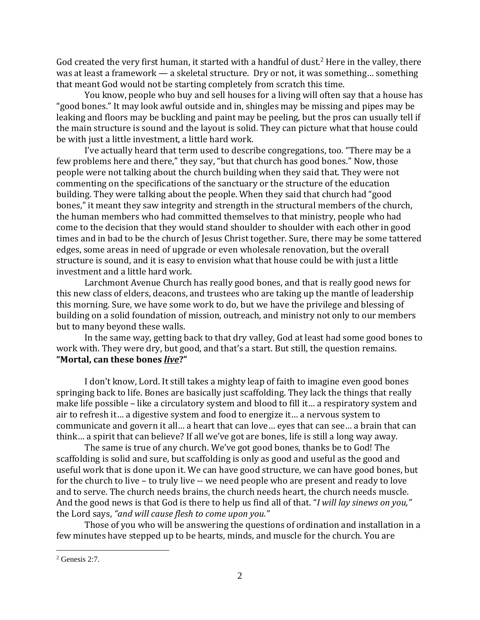God created the very first human, it started with a handful of dust.<sup>2</sup> Here in the valley, there was at least a framework — a skeletal structure. Dry or not, it was something… something that meant God would not be starting completely from scratch this time.

You know, people who buy and sell houses for a living will often say that a house has "good bones." It may look awful outside and in, shingles may be missing and pipes may be leaking and floors may be buckling and paint may be peeling, but the pros can usually tell if the main structure is sound and the layout is solid. They can picture what that house could be with just a little investment, a little hard work.

I've actually heard that term used to describe congregations, too. "There may be a few problems here and there," they say, "but that church has good bones." Now, those people were not talking about the church building when they said that. They were not commenting on the specifications of the sanctuary or the structure of the education building. They were talking about the people. When they said that church had "good bones," it meant they saw integrity and strength in the structural members of the church, the human members who had committed themselves to that ministry, people who had come to the decision that they would stand shoulder to shoulder with each other in good times and in bad to be the church of Jesus Christ together. Sure, there may be some tattered edges, some areas in need of upgrade or even wholesale renovation, but the overall structure is sound, and it is easy to envision what that house could be with just a little investment and a little hard work.

Larchmont Avenue Church has really good bones, and that is really good news for this new class of elders, deacons, and trustees who are taking up the mantle of leadership this morning. Sure, we have some work to do, but we have the privilege and blessing of building on a solid foundation of mission, outreach, and ministry not only to our members but to many beyond these walls.

In the same way, getting back to that dry valley, God at least had some good bones to work with. They were dry, but good, and that's a start. But still, the question remains. **"Mortal, can these bones** *live***?"**

I don't know, Lord. It still takes a mighty leap of faith to imagine even good bones springing back to life. Bones are basically just scaffolding. They lack the things that really make life possible – like a circulatory system and blood to fill it… a respiratory system and air to refresh it… a digestive system and food to energize it… a nervous system to communicate and govern it all… a heart that can love… eyes that can see… a brain that can think… a spirit that can believe? If all we've got are bones, life is still a long way away.

The same is true of any church. We've got good bones, thanks be to God! The scaffolding is solid and sure, but scaffolding is only as good and useful as the good and useful work that is done upon it. We can have good structure, we can have good bones, but for the church to live – to truly live -- we need people who are present and ready to love and to serve. The church needs brains, the church needs heart, the church needs muscle. And the good news is that God is there to help us find all of that. "*I will lay sinews on you,"*  the Lord says, *"and will cause flesh to come upon you."* 

Those of you who will be answering the questions of ordination and installation in a few minutes have stepped up to be hearts, minds, and muscle for the church. You are

 $2$  Genesis 2:7.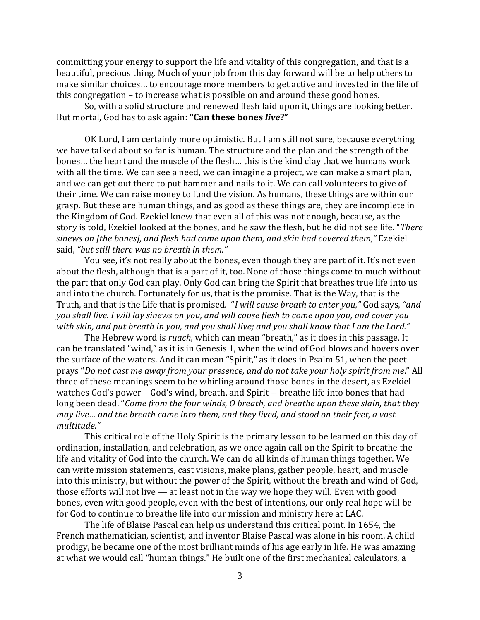committing your energy to support the life and vitality of this congregation, and that is a beautiful, precious thing. Much of your job from this day forward will be to help others to make similar choices… to encourage more members to get active and invested in the life of this congregation – to increase what is possible on and around these good bones.

So, with a solid structure and renewed flesh laid upon it, things are looking better. But mortal, God has to ask again: **"Can these bones** *live***?"**

OK Lord, I am certainly more optimistic. But I am still not sure, because everything we have talked about so far is human. The structure and the plan and the strength of the bones… the heart and the muscle of the flesh… this is the kind clay that we humans work with all the time. We can see a need, we can imagine a project, we can make a smart plan, and we can get out there to put hammer and nails to it. We can call volunteers to give of their time. We can raise money to fund the vision. As humans, these things are within our grasp. But these are human things, and as good as these things are, they are incomplete in the Kingdom of God. Ezekiel knew that even all of this was not enough, because, as the story is told, Ezekiel looked at the bones, and he saw the flesh, but he did not see life. "*There sinews on [the bones], and flesh had come upon them, and skin had covered them,"* Ezekiel said, *"but still there was no breath in them."*

You see, it's not really about the bones, even though they are part of it. It's not even about the flesh, although that is a part of it, too. None of those things come to much without the part that only God can play. Only God can bring the Spirit that breathes true life into us and into the church. Fortunately for us, that is the promise. That is the Way, that is the Truth, and that is the Life that is promised. "*I will cause breath to enter you,"* God says, *"and you shall live. I will lay sinews on you, and will cause flesh to come upon you, and cover you with skin, and put breath in you, and you shall live; and you shall know that I am the Lord."* 

The Hebrew word is *ruach*, which can mean "breath," as it does in this passage. It can be translated "wind," as it is in Genesis 1, when the wind of God blows and hovers over the surface of the waters. And it can mean "Spirit," as it does in Psalm 51, when the poet prays "*Do not cast me away from your presence, and do not take your holy spirit from me*." All three of these meanings seem to be whirling around those bones in the desert, as Ezekiel watches God's power – God's wind, breath, and Spirit -- breathe life into bones that had long been dead. "*Come from the four winds, O breath, and breathe upon these slain, that they may live… and the breath came into them, and they lived, and stood on their feet, a vast multitude."*

This critical role of the Holy Spirit is the primary lesson to be learned on this day of ordination, installation, and celebration, as we once again call on the Spirit to breathe the life and vitality of God into the church. We can do all kinds of human things together. We can write mission statements, cast visions, make plans, gather people, heart, and muscle into this ministry, but without the power of the Spirit, without the breath and wind of God, those efforts will not live — at least not in the way we hope they will. Even with good bones, even with good people, even with the best of intentions, our only real hope will be for God to continue to breathe life into our mission and ministry here at LAC.

The life of Blaise Pascal can help us understand this critical point. In 1654, the French mathematician, scientist, and inventor Blaise Pascal was alone in his room. A child prodigy, he became one of the most brilliant minds of his age early in life. He was amazing at what we would call "human things." He built one of the first mechanical calculators, a